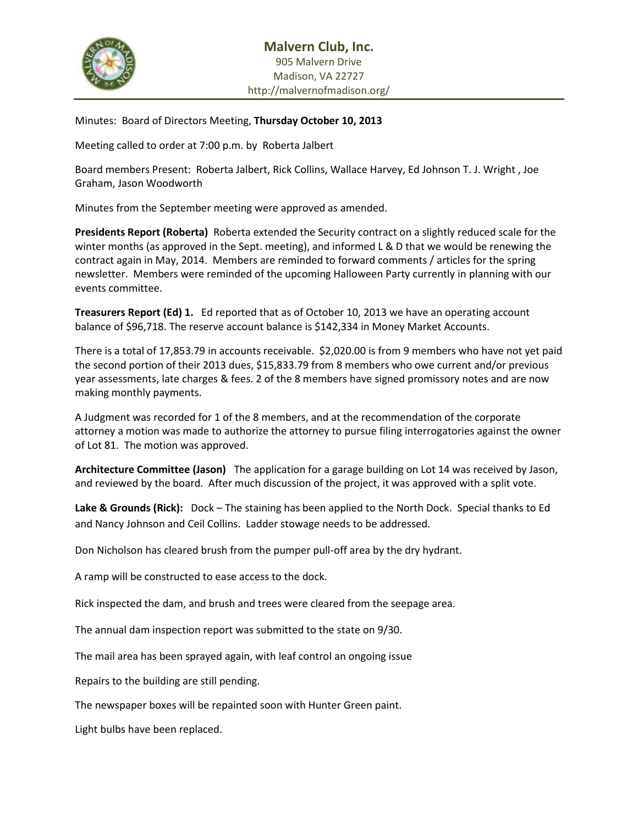

Minutes: Board of Directors Meeting, **Thursday October 10, 2013**

Meeting called to order at 7:00 p.m. by Roberta Jalbert

Board members Present: Roberta Jalbert, Rick Collins, Wallace Harvey, Ed Johnson T. J. Wright , Joe Graham, Jason Woodworth

Minutes from the September meeting were approved as amended.

**Presidents Report (Roberta)** Roberta extended the Security contract on a slightly reduced scale for the winter months (as approved in the Sept. meeting), and informed L & D that we would be renewing the contract again in May, 2014. Members are reminded to forward comments / articles for the spring newsletter. Members were reminded of the upcoming Halloween Party currently in planning with our events committee.

**Treasurers Report (Ed) 1.** Ed reported that as of October 10, 2013 we have an operating account balance of \$96,718. The reserve account balance is \$142,334 in Money Market Accounts.

There is a total of 17,853.79 in accounts receivable. \$2,020.00 is from 9 members who have not yet paid the second portion of their 2013 dues, \$15,833.79 from 8 members who owe current and/or previous year assessments, late charges & fees. 2 of the 8 members have signed promissory notes and are now making monthly payments.

A Judgment was recorded for 1 of the 8 members, and at the recommendation of the corporate attorney a motion was made to authorize the attorney to pursue filing interrogatories against the owner of Lot 81. The motion was approved.

**Architecture Committee (Jason)** The application for a garage building on Lot 14 was received by Jason, and reviewed by the board. After much discussion of the project, it was approved with a split vote.

**Lake & Grounds (Rick):** Dock – The staining has been applied to the North Dock. Special thanks to Ed and Nancy Johnson and Ceil Collins. Ladder stowage needs to be addressed.

Don Nicholson has cleared brush from the pumper pull-off area by the dry hydrant.

A ramp will be constructed to ease access to the dock.

Rick inspected the dam, and brush and trees were cleared from the seepage area.

The annual dam inspection report was submitted to the state on 9/30.

The mail area has been sprayed again, with leaf control an ongoing issue

Repairs to the building are still pending.

The newspaper boxes will be repainted soon with Hunter Green paint.

Light bulbs have been replaced.